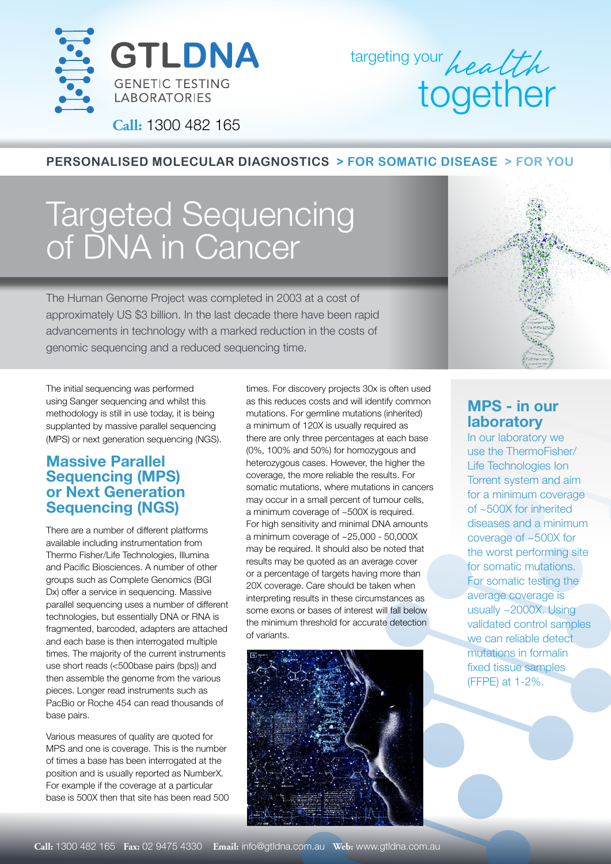

targeting your health together

**Call:** 1300 482 165

#### **PERSONALISED MOLECULAR DIAGNOSTICS > FOR SOMATIC DISEASE > FOR YOU**

# Targeted Sequencing of DNA in Cancer

The Human Genome Project was completed in 2003 at a cost of approximately US \$3 billion. In the last decade there have been rapid advancements in technology with a marked reduction in the costs of genomic sequencing and a reduced sequencing time.

The initial sequencing was performed using Sanger sequencing and whilst this methodology is still in use today, it is being supplanted by massive parallel sequencing (MPS) or next generation sequencing (NGS).

### **Massive Parallel Sequencing (MPS) or Next Generation Sequencing (NGS)**

There are a number of different platforms available including instrumentation from Thermo Fisher/Life Technologies, Illumina and Pacific Biosciences. A number of other groups such as Complete Genomics (BGI Dx) offer a service in sequencing. Massive parallel sequencing uses a number of different technologies, but essentially DNA or RNA is fragmented, barcoded, adapters are attached and each base is then interrogated multiple times. The majority of the current instruments use short reads (<500base pairs (bps)) and then assemble the genome from the various pieces. Longer read instruments such as PacBio or Roche 454 can read thousands of base pairs.

Various measures of quality are quoted for MPS and one is coverage. This is the number of times a base has been interrogated at the position and is usually reported as NumberX. For example if the coverage at a particular base is 500X then that site has been read 500 times. For discovery projects 30x is often used as this reduces costs and will identify common mutations. For germline mutations (inherited) a minimum of 120X is usually required as there are only three percentages at each base (0%, 100% and 50%) for homozygous and heterozygous cases. However, the higher the coverage, the more reliable the results. For somatic mutations, where mutations in cancers may occur in a small percent of tumour cells, a minimum coverage of ~500X is required. For high sensitivity and minimal DNA amounts a minimum coverage of ~25,000 - 50,000X may be required. It should also be noted that results may be quoted as an average cover or a percentage of targets having more than 20X coverage. Care should be taken when interpreting results in these circumstances as some exons or bases of interest will fall below the minimum threshold for accurate detection of variants.



# **Constitution**

# **MPS - in our laboratory**

In our laboratory we use the ThermoFisher/ Life Technologies Ion Torrent system and aim for a minimum coverage of ~500X for inherited diseases and a minimum coverage of ~500X for the worst performing site for somatic mutations. For somatic testing the average coverage is usually ~2000X. Using validated control samples we can reliable detect mutations in formalin fixed tissue samples (FFPE) at 1-2%.